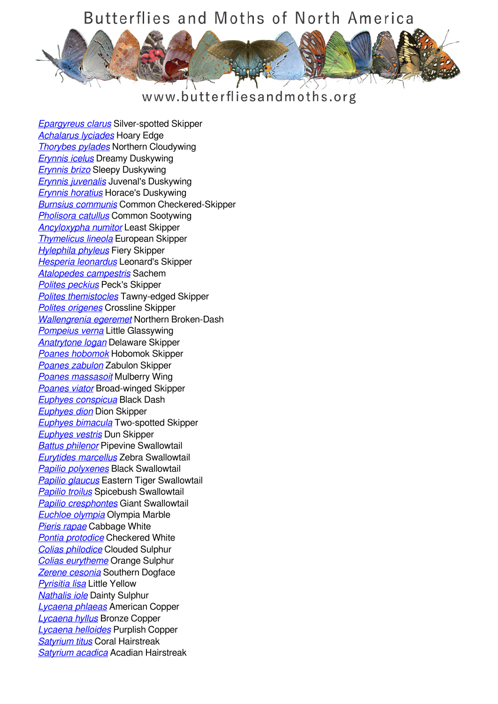#### www.butterfliesandmoths.org

*[Epargyreus clarus](/species/Epargyreus-clarus)* Silver-spotted Skipper *[Achalarus lyciades](/species/Achalarus-lyciades)* Hoary Edge *[Thorybes pylades](/species/Thorybes-pylades)* Northern Cloudywing *[Erynnis icelus](/species/Erynnis-icelus)* Dreamy Duskywing *[Erynnis brizo](/species/Erynnis-brizo)* Sleepy Duskywing *[Erynnis juvenalis](/species/Erynnis-juvenalis)* Juvenal's Duskywing *[Erynnis horatius](/species/Erynnis-horatius)* Horace's Duskywing *[Burnsius communis](/species/Pyrgus-communis)* Common Checkered-Skipper *[Pholisora catullus](/species/Pholisora-catullus)* Common Sootywing *[Ancyloxypha numitor](/species/Ancyloxypha-numitor)* Least Skipper *[Thymelicus lineola](/species/Thymelicus-lineola)* European Skipper *[Hylephila phyleus](/species/Hylephila-phyleus)* Fiery Skipper *[Hesperia leonardus](/species/Hesperia-leonardus)* Leonard's Skipper *[Atalopedes campestris](/species/Atalopedes-campestris)* Sachem *[Polites peckius](/species/Polites-peckius)* Peck's Skipper *[Polites themistocles](/species/Polites-themistocles)* Tawny-edged Skipper *[Polites origenes](/species/Polites-origenes)* Crossline Skipper *[Wallengrenia egeremet](/species/Wallengrenia-egeremet)* Northern Broken-Dash *[Pompeius verna](/species/Pompeius-verna)* Little Glassywing *[Anatrytone logan](/species/Anatrytone-logan)* Delaware Skipper *[Poanes hobomok](/species/Poanes-hobomok)* Hobomok Skipper *[Poanes zabulon](/species/Poanes-zabulon)* Zabulon Skipper *[Poanes massasoit](/species/Poanes-massasoit)* Mulberry Wing *[Poanes viator](/species/Poanes-viator)* Broad-winged Skipper *[Euphyes conspicua](/species/Euphyes-conspicua)* Black Dash *[Euphyes dion](/species/Euphyes-dion)* Dion Skipper *[Euphyes bimacula](/species/Euphyes-bimacula)* Two-spotted Skipper *[Euphyes vestris](/species/Euphyes-vestris)* Dun Skipper *[Battus philenor](/species/Battus-philenor)* Pipevine Swallowtail *[Eurytides marcellus](/species/Eurytides-marcellus)* Zebra Swallowtail *[Papilio polyxenes](/species/Papilio-polyxenes)* Black Swallowtail *[Papilio glaucus](/species/Papilio-glaucus)* Eastern Tiger Swallowtail *[Papilio troilus](/species/Papilio-troilus)* Spicebush Swallowtail *[Papilio cresphontes](/species/Papilio-cresphontes)* Giant Swallowtail *[Euchloe olympia](/species/Euchloe-olympia)* Olympia Marble *[Pieris rapae](/species/Pieris-rapae)* Cabbage White *[Pontia protodice](/species/Pontia-protodice)* Checkered White *[Colias philodice](/species/Colias-philodice)* Clouded Sulphur *[Colias eurytheme](/species/Colias-eurytheme)* Orange Sulphur *[Zerene cesonia](/species/Zerene-cesonia)* Southern Dogface *[Pyrisitia lisa](/species/Pyrisitia-lisa)* Little Yellow *[Nathalis iole](/species/Nathalis-iole)* Dainty Sulphur *[Lycaena phlaeas](/species/Lycaena-phlaeas)* American Copper *[Lycaena hyllus](/species/Lycaena-hyllus)* Bronze Copper *[Lycaena helloides](/species/Lycaena-helloides)* Purplish Copper *[Satyrium titus](/species/Satyrium-titus)* Coral Hairstreak *[Satyrium acadica](/species/Satyrium-acadica)* Acadian Hairstreak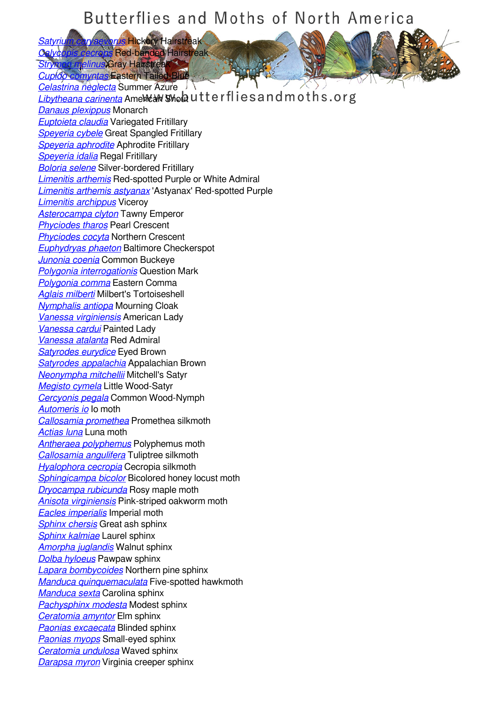*[Satyrium caryaevorus](/species/Satyrium-caryaevorus)* Hickory Hairstreak **Red-banded Hairstreak** 

**Relinus Gray Hairstreak** *[Cupido comyntas](/species/Cupido-comyntas)* Eastern Tailed-Blue

*[Celastrina neglecta](/species/Celastrina-neglecta)* Summer Azure *[Libytheana carinenta](/species/Libytheana-carinenta)* AmeMeaM SMolautterflies and moths.org *[Danaus plexippus](/species/Danaus-plexippus)* Monarch *[Euptoieta claudia](/species/Euptoieta-claudia)* Variegated Fritillary *[Speyeria cybele](/species/Speyeria-cybele)* Great Spangled Fritillary *[Speyeria aphrodite](/species/Speyeria-aphrodite)* Aphrodite Fritillary *[Speyeria idalia](/species/Speyeria-idalia)* Regal Fritillary *[Boloria selene](/species/Boloria-selene)* Silver-bordered Fritillary *[Limenitis arthemis](/species/Limenitis-arthemis)* Red-spotted Purple or White Admiral *[Limenitis arthemis astyanax](/species/Limenitis-arthemis-astyanax)* 'Astyanax' Red-spotted Purple *[Limenitis archippus](/species/Limenitis-archippus)* Viceroy *[Asterocampa clyton](/species/Asterocampa-clyton)* Tawny Emperor *[Phyciodes tharos](/species/Phyciodes-tharos)* Pearl Crescent *[Phyciodes cocyta](/species/Phyciodes-cocyta)* Northern Crescent *[Euphydryas phaeton](/species/Euphydryas-phaeton)* Baltimore Checkerspot *[Junonia coenia](/species/Junonia-coenia)* Common Buckeye *[Polygonia interrogationis](/species/Polygonia-interrogationis)* Question Mark *[Polygonia comma](/species/Polygonia-comma)* Eastern Comma *[Aglais milberti](/species/Aglais-milberti)* Milbert's Tortoiseshell *[Nymphalis antiopa](/species/Nymphalis-antiopa)* Mourning Cloak *[Vanessa virginiensis](/species/Vanessa-virginiensis)* American Lady *[Vanessa cardui](/species/Vanessa-cardui)* Painted Lady *[Vanessa atalanta](/species/Vanessa-atalanta)* Red Admiral *[Satyrodes eurydice](/species/Satyrodes-eurydice)* Eyed Brown *[Satyrodes appalachia](/species/Satyrodes-appalachia)* Appalachian Brown *[Neonympha mitchellii](/species/Neonympha-mitchellii)* Mitchell's Satyr *[Megisto cymela](/species/Megisto-cymela)* Little Wood-Satyr *[Cercyonis pegala](/species/Cercyonis-pegala)* Common Wood-Nymph *[Automeris io](/species/Automeris-io)* Io moth *[Callosamia promethea](/species/Callosamia-promethea)* Promethea silkmoth *[Actias luna](/species/Actias-luna)* Luna moth *[Antheraea polyphemus](/species/Antheraea-polyphemus)* Polyphemus moth *[Callosamia angulifera](/species/Callosamia-angulifera)* Tuliptree silkmoth *[Hyalophora cecropia](/species/Hyalophora-cecropia)* Cecropia silkmoth *[Sphingicampa bicolor](/species/Sphingicampa-bicolor)* Bicolored honey locust moth *[Dryocampa rubicunda](/species/Dryocampa-rubicunda)* Rosy maple moth *[Anisota virginiensis](/species/Anisota-virginiensis)* Pink-striped oakworm moth *[Eacles imperialis](/species/Eacles-imperialis)* Imperial moth *[Sphinx chersis](/species/Sphinx-chersis)* Great ash sphinx *[Sphinx kalmiae](/species/Sphinx-kalmiae)* Laurel sphinx *[Amorpha juglandis](/species/Amorpha-juglandis)* Walnut sphinx *[Dolba hyloeus](/species/Dolba-hyloeus)* Pawpaw sphinx *[Lapara bombycoides](/species/Lapara-bombycoides)* Northern pine sphinx *[Manduca quinquemaculata](/species/Manduca-quinquemaculata)* Five-spotted hawkmoth *[Manduca sexta](/species/Manduca-sexta)* Carolina sphinx *[Pachysphinx modesta](/species/Pachysphinx-modesta)* Modest sphinx *[Ceratomia amyntor](/species/Ceratomia-amyntor)* Elm sphinx *[Paonias excaecata](/species/Paonias-excaecata)* Blinded sphinx *[Paonias myops](/species/Paonias-myops)* Small-eyed sphinx *[Ceratomia undulosa](/species/Ceratomia-undulosa)* Waved sphinx *[Darapsa myron](/species/Darapsa-myron)* Virginia creeper sphinx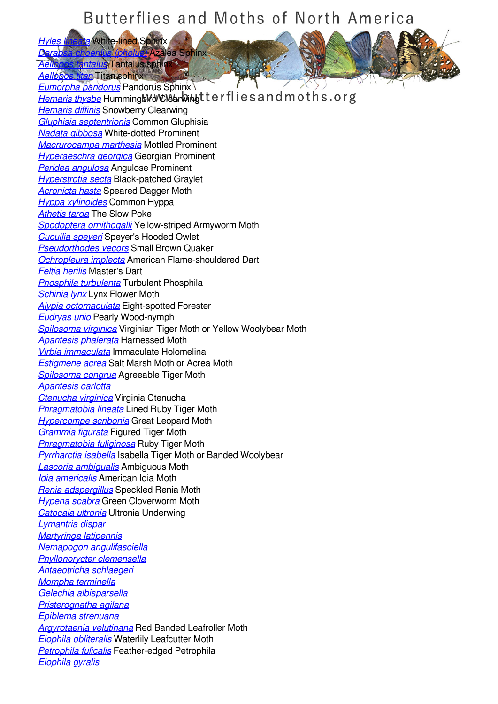*[Hyles lineata](/species/Hyles-lineata)* White-lined Sphinx

*[Aellopos tantalus](/species/Aellopos-tantalus)* Tantalus sphinx *[Aellopos titan](/species/Aellopos-titan)* Titan sphinx

*[Darapsa choerilus \(pholus\)](/species/Darapsa-choerilus-%28pholus%29)* Azalea Sphinx

*[Eumorpha pandorus](/species/Eumorpha-pandorus)* Pandorus Sphinx [Hemaris thysbe](/species/Hemaris-thysbe) Humming Mid Clear Wingt terflies and moths.org *[Hemaris diffinis](/species/Hemaris-diffinis)* Snowberry Clearwing *[Gluphisia septentrionis](/species/Gluphisia-septentrionis)* Common Gluphisia *[Nadata gibbosa](/species/Nadata-gibbosa)* White-dotted Prominent *[Macrurocampa marthesia](/species/Macrurocampa-marthesia)* Mottled Prominent *[Hyperaeschra georgica](/species/Hyperaeschra-georgica)* Georgian Prominent *[Peridea angulosa](/species/Peridea-angulosa)* Angulose Prominent *[Hyperstrotia secta](/species/Hyperstrotia-secta)* Black-patched Graylet *[Acronicta hasta](/species/Acronicta-hasta)* Speared Dagger Moth *[Hyppa xylinoides](/species/Hyppa-xylinoides)* Common Hyppa *[Athetis tarda](/species/Athetis-tarda)* The Slow Poke *[Spodoptera ornithogalli](/species/Spodoptera-ornithogalli)* Yellow-striped Armyworm Moth *[Cucullia speyeri](/species/Cucullia-speyeri)* Speyer's Hooded Owlet *[Pseudorthodes vecors](/species/Pseudorthodes-vecors)* Small Brown Quaker *[Ochropleura implecta](/species/Ochropleura-implecta)* American Flame-shouldered Dart *[Feltia herilis](/species/Feltia-herilis)* Master's Dart *[Phosphila turbulenta](/species/Phosphila-turbulenta)* Turbulent Phosphila *[Schinia lynx](/species/Schinia-lynx)* Lynx Flower Moth *[Alypia octomaculata](/species/Alypia-octomaculata)* Eight-spotted Forester *[Eudryas unio](/species/Eudryas-unio)* Pearly Wood-nymph *[Spilosoma virginica](/species/Spilosoma-virginica)* Virginian Tiger Moth or Yellow Woolybear Moth *[Apantesis phalerata](/species/Apantesis-phalerata)* Harnessed Moth *[Virbia immaculata](/species/Virbia-immaculata)* Immaculate Holomelina *[Estigmene acrea](/species/Estigmene-acrea)* Salt Marsh Moth or Acrea Moth *[Spilosoma congrua](/species/Spilosoma-congrua)* Agreeable Tiger Moth *[Apantesis carlotta](/species/Apantesis-carlotta) [Ctenucha virginica](/species/Ctenucha-virginica)* Virginia Ctenucha *[Phragmatobia lineata](/species/Phragmatobia-lineata)* Lined Ruby Tiger Moth *[Hypercompe scribonia](/species/Hypercompe-scribonia)* Great Leopard Moth *[Grammia figurata](/species/Grammia-figurata)* Figured Tiger Moth *[Phragmatobia fuliginosa](/species/Phragmatobia-fuliginosa)* Ruby Tiger Moth *[Pyrrharctia isabella](/species/Pyrrharctia-isabella)* Isabella Tiger Moth or Banded Woolybear *[Lascoria ambigualis](/species/Lascoria-ambigualis)* Ambiguous Moth *[Idia americalis](/species/Idia-americalis)* American Idia Moth *[Renia adspergillus](/species/Renia-adspergillus)* Speckled Renia Moth *[Hypena scabra](/species/Hypena-scabra)* Green Cloverworm Moth *[Catocala ultronia](/species/Catocala-ultronia)* Ultronia Underwing *[Lymantria dispar](/species/Lymantria-dispar) [Martyringa latipennis](/species/Martyringa-latipennis) [Nemapogon angulifasciella](/species/Nemapogon-angulifasciella) [Phyllonorycter clemensella](/species/Phyllonorycter-clemensella) [Antaeotricha schlaegeri](/species/Antaeotricha-schlaegeri) [Mompha terminella](/species/Mompha-terminella) [Gelechia albisparsella](/species/Gelechia-albisparsella) [Pristerognatha agilana](/species/Pristerognatha-fuligana) [Epiblema strenuana](/species/Epiblema-strenuana) [Argyrotaenia velutinana](/species/Argyrotaenia-velutinana)* Red Banded Leafroller Moth *[Elophila obliteralis](/species/Elophila-obliteralis)* Waterlily Leafcutter Moth *[Petrophila fulicalis](/species/Petrophila-fulicalis)* Feather-edged Petrophila *[Elophila gyralis](/species/Elophila-gyralis)*